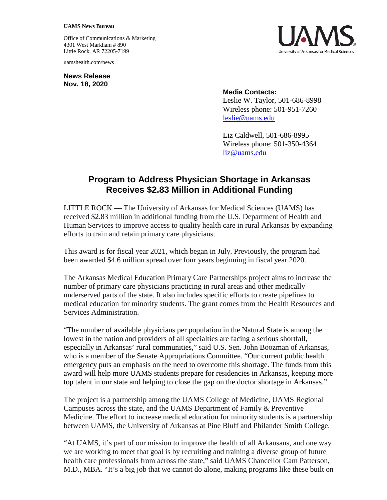## **UAMS News Bureau**

Office of Communications & Marketing 4301 West Markham # 890 Little Rock, AR 72205-7199

uamshealth.com/news

**News Release Nov. 18, 2020**



## **Media Contacts:**

Leslie W. Taylor, 501-686-8998 Wireless phone: 501-951-7260 [leslie@uams.edu](mailto:leslie@uams.edu)

Liz Caldwell, 501-686-8995 Wireless phone: 501-350-4364 [liz@uams.edu](mailto:liz@uams.edu)

## **Program to Address Physician Shortage in Arkansas Receives \$2.83 Million in Additional Funding**

LITTLE ROCK — The University of Arkansas for Medical Sciences (UAMS) has received \$2.83 million in additional funding from the U.S. Department of Health and Human Services to improve access to quality health care in rural Arkansas by expanding efforts to train and retain primary care physicians.

This award is for fiscal year 2021, which began in July. Previously, the program had been awarded \$4.6 million spread over four years beginning in fiscal year 2020.

The Arkansas Medical Education Primary Care Partnerships project aims to increase the number of primary care physicians practicing in rural areas and other medically underserved parts of the state. It also includes specific efforts to create pipelines to medical education for minority students. The grant comes from the Health Resources and Services Administration.

"The number of available physicians per population in the Natural State is among the lowest in the nation and providers of all specialties are facing a serious shortfall, especially in Arkansas' rural communities," said U.S. Sen. John Boozman of Arkansas, who is a member of the Senate Appropriations Committee. "Our current public health emergency puts an emphasis on the need to overcome this shortage. The funds from this award will help more UAMS students prepare for residencies in Arkansas, keeping more top talent in our state and helping to close the gap on the doctor shortage in Arkansas."

The project is a partnership among the UAMS College of Medicine, UAMS Regional Campuses across the state, and the UAMS Department of Family & Preventive Medicine. The effort to increase medical education for minority students is a partnership between UAMS, the University of Arkansas at Pine Bluff and Philander Smith College.

"At UAMS, it's part of our mission to improve the health of all Arkansans, and one way we are working to meet that goal is by recruiting and training a diverse group of future health care professionals from across the state," said UAMS Chancellor Cam Patterson, M.D., MBA. "It's a big job that we cannot do alone, making programs like these built on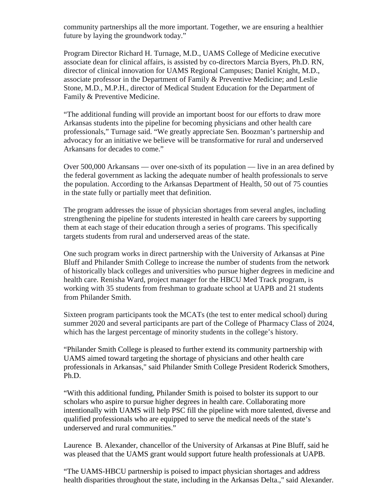community partnerships all the more important. Together, we are ensuring a healthier future by laying the groundwork today."

Program Director Richard H. Turnage, M.D., UAMS College of Medicine executive associate dean for clinical affairs, is assisted by co-directors Marcia Byers, Ph.D. RN, director of clinical innovation for UAMS Regional Campuses; Daniel Knight, M.D., associate professor in the Department of Family & Preventive Medicine; and Leslie Stone, M.D., M.P.H., director of Medical Student Education for the Department of Family & Preventive Medicine.

"The additional funding will provide an important boost for our efforts to draw more Arkansas students into the pipeline for becoming physicians and other health care professionals," Turnage said. "We greatly appreciate Sen. Boozman's partnership and advocacy for an initiative we believe will be transformative for rural and underserved Arkansans for decades to come."

Over 500,000 Arkansans — over one-sixth of its population — live in an area defined by the federal government as lacking the adequate number of health professionals to serve the population. According to the Arkansas Department of Health, 50 out of 75 counties in the state fully or partially meet that definition.

The program addresses the issue of physician shortages from several angles, including strengthening the pipeline for students interested in health care careers by supporting them at each stage of their education through a series of programs. This specifically targets students from rural and underserved areas of the state.

One such program works in direct partnership with the University of Arkansas at Pine Bluff and Philander Smith College to increase the number of students from the network of historically black colleges and universities who pursue higher degrees in medicine and health care. Renisha Ward, project manager for the HBCU Med Track program, is working with 35 students from freshman to graduate school at UAPB and 21 students from Philander Smith.

Sixteen program participants took the MCATs (the test to enter medical school) during summer 2020 and several participants are part of the College of Pharmacy Class of 2024, which has the largest percentage of minority students in the college's history.

"Philander Smith College is pleased to further extend its community partnership with UAMS aimed toward targeting the shortage of physicians and other health care professionals in Arkansas," said Philander Smith College President Roderick Smothers, Ph.D.

"With this additional funding, Philander Smith is poised to bolster its support to our scholars who aspire to pursue higher degrees in health care. Collaborating more intentionally with UAMS will help PSC fill the pipeline with more talented, diverse and qualified professionals who are equipped to serve the medical needs of the state's underserved and rural communities."

Laurence B. Alexander, chancellor of the University of Arkansas at Pine Bluff, said he was pleased that the UAMS grant would support future health professionals at UAPB.

"The UAMS-HBCU partnership is poised to impact physician shortages and address health disparities throughout the state, including in the Arkansas Delta.," said Alexander.